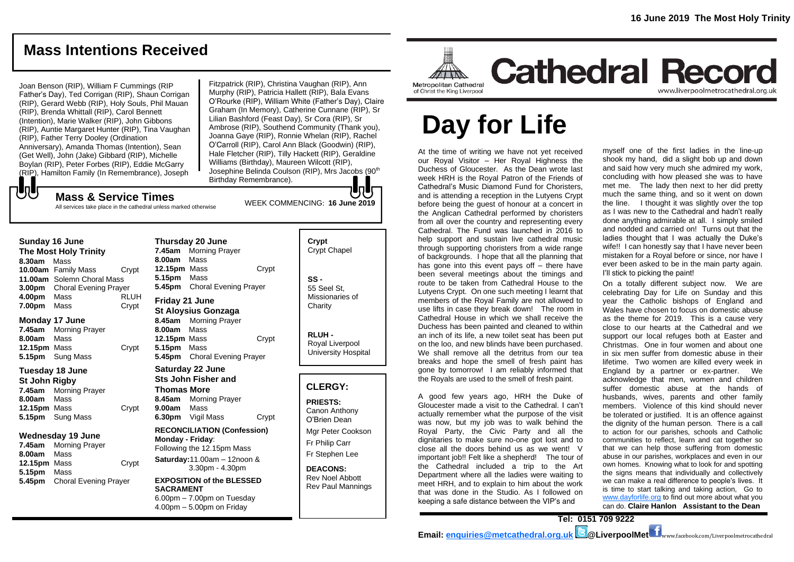# **Mass Intentions Received**

Joan Benson (RIP), William F Cummings (RIP Father's Day), Ted Corrigan (RIP), Shaun Corrigan (RIP), Gerard Webb (RIP), Holy Souls, Phil Mauan (RIP), Brenda Whittall (RIP), Carol Bennett (Intention), Marie Walker (RIP), John Gibbons (RIP), Auntie Margaret Hunter (RIP), Tina Vaughan (RIP), Father Terry Dooley (Ordination Anniversary), Amanda Thomas (Intention), Sean (Get Well), John (Jake) Gibbard (RIP), Michelle Boylan (RIP), Peter Forbes (RIP), Eddie McGarry (RIP), Hamilton Family (In Remembrance), Joseph

Fitzpatrick (RIP), Christina Vaughan (RIP), Ann Murphy (RIP), Patricia Hallett (RIP), Bala Evans O'Rourke (RIP), William White (Father's Day), Claire Graham (In Memory), Catherine Cunnane (RIP), Sr Lilian Bashford (Feast Day), Sr Cora (RIP), Sr Ambrose (RIP), Southend Community (Thank you), Joanna Gaye (RIP), Ronnie Whelan (RIP), Rachel O'Carroll (RIP), Carol Ann Black (Goodwin) (RIP), Hale Fletcher (RIP), Tilly Hackett (RIP), Geraldine Williams (Birthday), Maureen Wilcott (RIP), Josephine Belinda Coulson (RIP), Mrs Jacobs (90th Birthday Remembrance).

WEEK COMMENCING: **16 June 2019**

**Mass & Service Times** All services take place in the cathedral unless marked otherwise

### **Sunday 16 June**

もし

**The Most Holy Trinity 8.30am** Mass **10.00am** Family Mass Crypt **11.00am** Solemn Choral Mass **3.00pm** Choral Evening Prayer **4.00pm** Mass RLUH **7.00pm** Mass Crypt

### **Monday 17 June**

**7.45am** Morning Prayer **8.00am** Mass **12.15pm** Mass Crypt **5.15pm** Sung Mass

### **Tuesday 18 June**

**St John Rigby 7.45am** Morning Prayer **8.00am** Mass **12.15pm** Mass **Crypt 5.15pm** Sung Mass

### **Wednesday 19 June**

**7.45am** Morning Prayer **8.00am** Mass **12.15pm** Mass Crypt **5.15pm** Mass **5.45pm** Choral Evening Prayer

**Thursday 20 June 7.45am** Morning Prayer **8.00am** Mass **12.15pm** Mass Crypt **5.15pm** Mass **5.45pm** Choral Evening Prayer **Friday 21 June St Aloysius Gonzaga 8.45am** Morning Prayer **8.00am** Mass

**12.15pm** Mass Crypt **5.15pm** Mass **5.45pm** Choral Evening Prayer

### **Saturday 22 June Sts John Fisher and Thomas More 8.45am** Morning Prayer **9.00am** Mass **6.30pm** Vigil Mass Crypt **RECONCILIATION (Confession)**

**Monday - Friday**: Following the 12.15pm Mass **Saturday:**11.00am – 12noon & 3.30pm - 4.30pm

**EXPOSITION of the BLESSED SACRAMENT** 6.00pm – 7.00pm on Tuesday  $4.00<sub>pm</sub> - 5.00<sub>pm</sub>$  on Friday

# **Crypt**  Crypt Chapel **SS -** 55 Seel St, Missionaries of **Charity**

**RLUH -** Royal Liverpool University Hospital

### **CLERGY:**

**PRIESTS:** Canon Anthony O'Brien *Dean*

Mgr Peter Cookson Fr Philip Carr Fr Stephen Lee

**DEACONS:** Rev Noel Abbott Rev Paul Mannings



# **Cathedral Record** www.liverpoolmetrocathedral.org.uk

of Christ the King Liverpool

# **Day for Life**

At the time of writing we have not yet received our Royal Visitor – Her Royal Highness the Duchess of Gloucester. As the Dean wrote last week HRH is the Royal Patron of the Friends of Cathedral's Music Diamond Fund for Choristers, and is attending a reception in the Lutyens Crypt before being the guest of honour at a concert in the Anglican Cathedral performed by choristers from all over the country and representing every Cathedral. The Fund was launched in 2016 to help support and sustain live cathedral music through supporting choristers from a wide range of backgrounds. I hope that all the planning that has gone into this event pays off – there have been several meetings about the timings and route to be taken from Cathedral House to the Lutyens Crypt. On one such meeting I learnt that members of the Royal Family are not allowed to use lifts in case they break down! The room in Cathedral House in which we shall receive the Duchess has been painted and cleaned to within an inch of its life, a new toilet seat has been put on the loo, and new blinds have been purchased. We shall remove all the detritus from our tea breaks and hope the smell of fresh paint has gone by tomorrow! I am reliably informed that the Royals are used to the smell of fresh paint.

A good few years ago, HRH the Duke of Gloucester made a visit to the Cathedral. I can't actually remember what the purpose of the visit was now, but my job was to walk behind the Royal Party, the Civic Party and all the dignitaries to make sure no-one got lost and to close all the doors behind us as we went! V important job!! Felt like a shepherd! The tour of the Cathedral included a trip to the Art Department where all the ladies were waiting to meet HRH, and to explain to him about the work that was done in the Studio. As I followed on keeping a safe distance between the VIP's and

myself one of the first ladies in the line-up shook my hand, did a slight bob up and down and said how very much she admired my work, concluding with how pleased she was to have met me. The lady then next to her did pretty much the same thing, and so it went on down the line. I thought it was slightly over the top as I was new to the Cathedral and hadn't really done anything admirable at all. I simply smiled and nodded and carried on! Turns out that the ladies thought that I was actually the Duke's wife!! I can honestly say that I have never been mistaken for a Royal before or since, nor have I ever been asked to be in the main party again. I'll stick to picking the paint!

On a totally different subject now. We are celebrating Day for Life on Sunday and this year the Catholic bishops of England and Wales have chosen to focus on domestic abuse as the theme for 2019. This is a cause very close to our hearts at the Cathedral and we support our local refuges both at Easter and Christmas. One in four women and about one in six men suffer from domestic abuse in their lifetime. Two women are killed every week in England by a partner or ex-partner. We acknowledge that men, women and children suffer domestic abuse at the hands of husbands, wives, parents and other family members. Violence of this kind should never be tolerated or justified. It is an offence against the dignity of the human person. There is a call to action for our parishes, schools and Catholic communities to reflect, learn and cat together so that we can help those suffering from domestic abuse in our parishes, workplaces and even in our own homes. Knowing what to look for and spotting the signs means that individually and collectively we can make a real difference to people's lives. It is time to start talking and taking action, Go to [www.dayforlife.org](http://www.dayforlife.org/) to find out more about what you can do. **Claire Hanlon Assistant to the Dean**

**Tel: 0151 709 9222 Email: [enquiries@metcathedral.org.uk](mailto:enquiries@metcathedral.org.uk) @LiverpoolMet** www.facebook.com/Liverpoolmetrocathedral